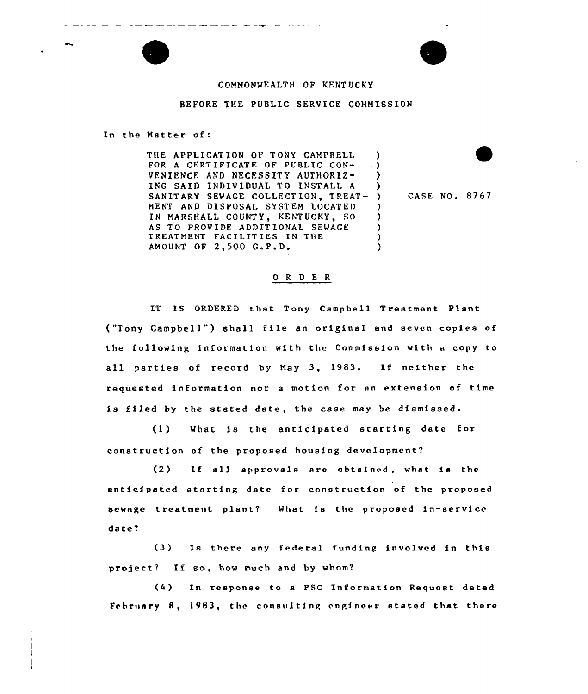

## COMMONWEALTH OF KENTUCKY

## BEFORE THE PUBLIC SERVICE COMMISSION

In the Natter of:

THE APPLICATION OF TONY CAMPBELL FOR <sup>A</sup> CERTIFICATE OF PUBLIC CON-VENIENCE AND NECESSITY AUTHORIZ-ING SAID INDIVIDUAL TO INSTALL <sup>A</sup> SANITARY SEWAGE COLLECTION, TREAT- ) MENT AND DISPOSAL SYSTEM LOCATED IN MARSHALL COUNTY, KENTUCKY, SO AS TO PROVIDE ADDITIONAL SEWAGE TREATMENT FACILITIES IN THE AMOUNT OF 2,500 G.P.D. ) ) ) )  $\lambda$ ) ) )  $\lambda$ 

) CASE NO. 8767

## 0 <sup>R</sup> <sup>D</sup> E R

IT IS ORDERED that Tony Campbell Treatment Plant ("Tony Campbell") shall file an original and seven copies of the following information with the Commission with a copy to all parties of record by Nay 3, 1983. If neither the requested information nor a motion for an extension of time is filed by the stated date, the case may be dismissed.

(I) What is the anticipated starting date for construction of the proposed housing development?

 $(2)$  If all approvals are obtained, what is the anticipated starting date for construction of the proposed sewage treatment plant? What is the proposed in-service date?

(3) Xs there any federal funding involved in this project? If so, how much and by whom?

(4) In response to <sup>a</sup> PSC Information Request dated February 8, 1983, the consulting engineer stated that there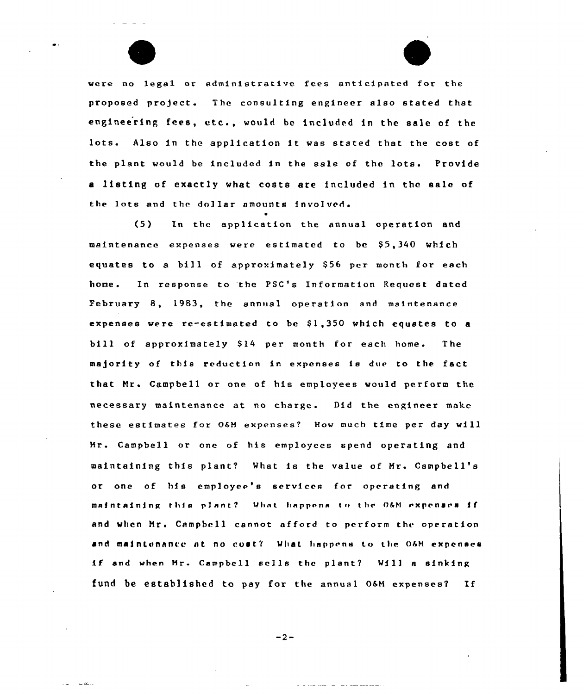were no legal or administrative fees anticipated for the proposed project. The consulting engineer also stated that engineering fees, etc., would be included in the sale of the lots. Also in the application it was stated that the coat of the plant would be included in the sale of thc lots. Provide <sup>a</sup> listing of exactly what costs are included in the sale of the lots and thc dollar amounts involved.

 $\blacktriangle$ 

(5) In the application the annual operation and maintenance expenses were estimated to be \$5,340 which equates to a bill of approximately \$56 per month for each home. In response to 'the PSC's Information Request dated February 8, 1983, the annual operation and maintenance expenses were re-estimated to be \$1,350 which equates to a bill of approximately \$14 per month for each home. The majority of this reduction in expenses is due to the fact that Mrs Campbell or one of his employees would perform the necessary maintenance at no charge. Did the engineer make these estimates for 0&M expenses? How much time pcr day will Mr. Campbell or one of his employees spend operating and maintaining this plant? What is the value of Mr. Campbell's or one of his employee's services for operating and maintaining this plant? What happens to the O&M expenses if and when Mr. Campbell cannot afford to perform the operation and maintenance at no cost? What happens to the O&M expenses if and when Mr. Campbell sells the plant? Will a sinking fund be established to pay for the annual 0&M expenses? If

 $-2-$ 

للمنفقات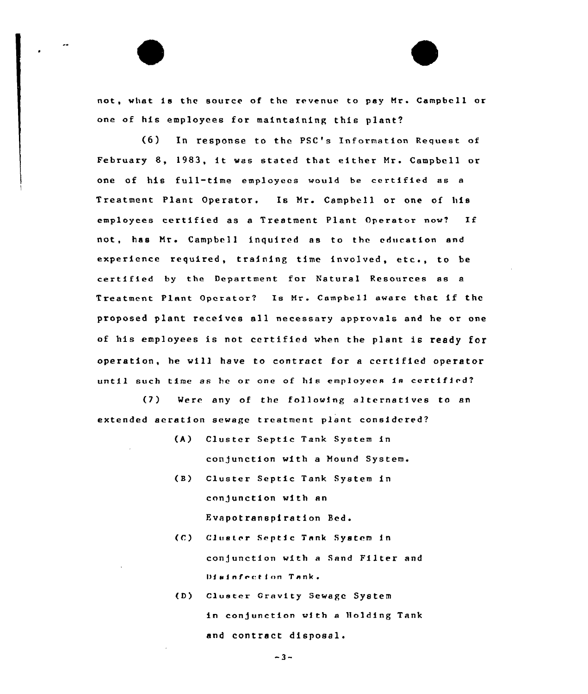not, what. is the source of the revenue to pay Hr» Campbell or one of his employees for maintaining this plant?

(6) In response to the PSC's Information Request of February 8, 1983, it was stated that either Mr. Campbell or one of his full-time employees would be certified as <sup>a</sup> Treatment Plant Operator. Is Nr. Campbell or one of his employees certified as <sup>a</sup> Treatment Plant Operator now? If not, has Mrs Campbell inquired as to the education and experience required, training time involved, etc., to be certified by the Department for Yatural Resources as <sup>a</sup> Treatment Plant Operator? Is Nr. Campbell aware that if the proposed plant receives all necessary approvals and he or one of his employees is not certified when the plant is ready for operation, he will have to contract for <sup>a</sup> certified operator until such time as he or one of his employees is certified?

(7) Were any of the following alternatives to an extended aeration sewage treatment plant considered?

- (A) Cluster Septic Tank System in conjunction with a Mound System.
- (B) Cluster Septic Tank System in con/unction with an Evapotranspiration Bed.
- (C) Cluster Septic Tank System in conjunction with a Sand Filter and Disinfection Tank.
- (D) Cluster Gravity Sewage System in conjunction with a Holding Tank and contract disposal.

 $-3-$